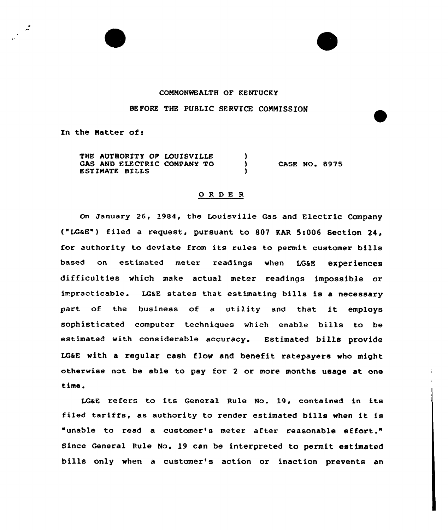## COMMONWEALTH OF KENTUCKY

## BEFORE THE PUBLIC SERVICE COMMISSION

In the Matter of:

ہ<br>سرا

THE AUTHORITY OF LOUISVILLE  $\lambda$ GAS AND ELECTRIC COMPANY TO CASE NO. 8975  $\lambda$ 8STIMATE BILLS

## ORDER

on january 26, 1984, the Louisville Gas and Electric Company ("LG&E") filed a request, pursuant to 807 RAR 5:006 Section 24, for authority to deviate from its rules to permit customer bills based on estimated meter readings when LG6E experiences difficulties which make actual meter readings impossible or impracticable. LGSE states that estimating bills is a necessary part of the business of <sup>a</sup> utility and that it employs sophisticated computer techniques which enable bills to be estimated with considerable accuracy. Estimated bills provide LGSE with a regular cash flow and benefit ratepayers who might otherwise not be able to pay for <sup>2</sup> or more months usage at one time.

LG&E refers to its General Rule No. 19, contained in its filed tariffs, as authority to render estimated bills when it is "unable to read a customer's meter after reasonable effort." Since General Rule No. 19 can be interpreted to permit estimated bills only when a customer's action or inaction prevents an